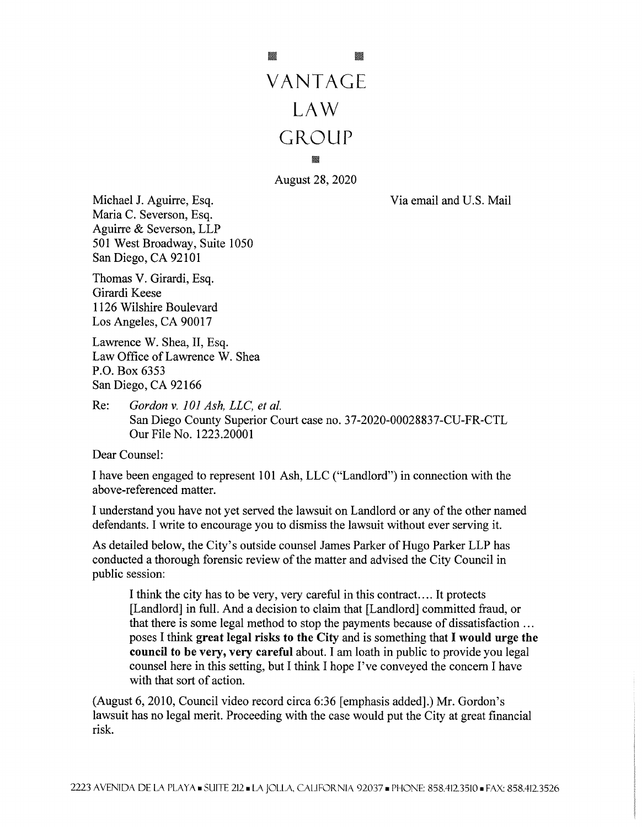

August 28, 2020

Via email and U.S. Mail

Michael J. Aguirre, Esq. Maria C. Severson, Esq. Aguirre & Severson, LLP 501 West Broadway, Suite 1050 San Diego, CA 92101

Thomas V. Girardi, Esq. Girardi Keese 1126 Wilshire Boulevard Los Angeles, CA 90017

Lawrence W. Shea, II, Esq. Law Office of Lawrence W. Shea P.O. Box 6353 San Diego, CA 92166

Re: *Gordon v. 101 Ash, LLC, eta!.*  San Diego County Superior Court case no. 37-2020-00028837-CU-FR-CTL Our File No. 1223.20001

Dear Counsel:

I have been engaged to represent 10 1 Ash, LLC ("Landlord") in connection with the above-referenced matter.

I understand you have not yet served the lawsuit on Landlord or any of the other named defendants. I write to encourage you to dismiss the lawsuit without ever serving it.

As detailed below, the City's outside counsel James Parker of Hugo Parker LLP has conducted a thorough forensic review of the matter and advised the City Council in public session:

I think the city has to be very, very careful in this contract.... It protects [Landlord] in full. And a decision to claim that [Landlord] committed fraud, or that there is some legal method to stop the payments because of dissatisfaction ... poses I think great legal risks to the City and is something that I would urge the council to be very, very careful about. I am loath in public to provide you legal counsel here in this setting, but I think I hope I've conveyed the concern I have with that sort of action.

(August 6, 2010, Council video record circa 6:36 [emphasis added].) Mr. Gordon's lawsuit has no legal merit. Proceeding with the case would put the City at great financial risk.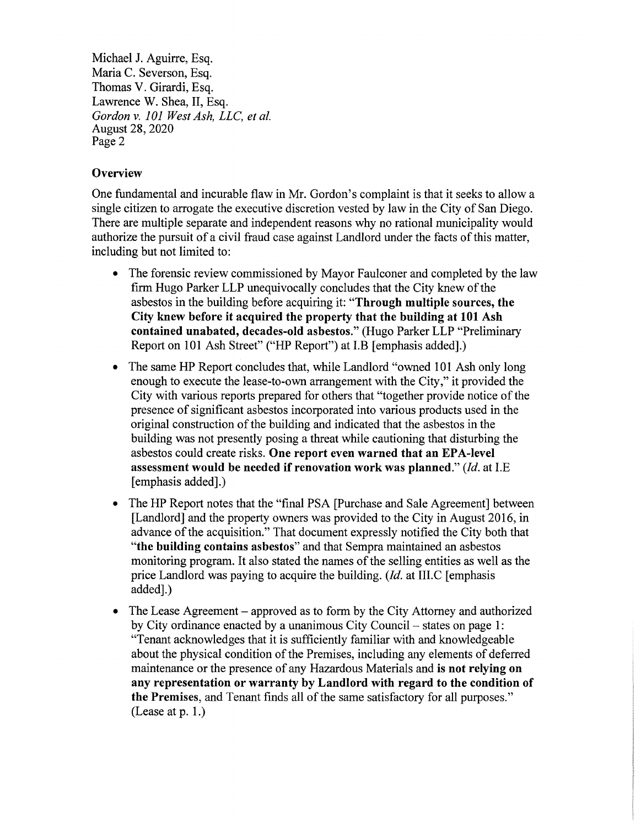# **Overview**

One fundamental and incurable flaw in Mr. Gordon's complaint is that it seeks to allow a single citizen to arrogate the executive discretion vested by law in the City of San Diego. There are multiple separate and independent reasons why no rational municipality would authorize the pursuit of a civil fraud case against Landlord under the facts of this matter, including but not limited to:

- The forensic review commissioned by Mayor Faulconer and completed by the law firm Hugo Parker LLP unequivocally concludes that the City knew of the asbestos in the building before acquiring it: "Through multiple sources, the City knew before it acquired the property that the building at 101 Ash contained unabated, decades-old asbestos." (Hugo Parker LLP "Preliminary Report on 101 Ash Street" ("HP Report") at I.B [emphasis added].)
- The same HP Report concludes that, while Landlord "owned 101 Ash only long enough to execute the lease-to-own arrangement with the City," it provided the City with various reports prepared for others that "together provide notice of the presence of significant asbestos incorporated into various products used in the original construction of the building and indicated that the asbestos in the building was not presently posing a threat while cautioning that disturbing the asbestos could create risks. One report even warned that an EPA-level assessment would be needed if renovation work was planned."  $(id$ . at I.E [emphasis added].)
- The HP Report notes that the "final PSA [Purchase and Sale Agreement] between [Landlord] and the property owners was provided to the City in August 2016, in advance of the acquisition." That document expressly notified the City both that "the building contains asbestos" and that Sempra maintained an asbestos monitoring program. It also stated the names of the selling entities as well as the price Landlord was paying to acquire the building. (*Id.* at III.C [emphasis] added].)
- The Lease Agreement- approved as to form by the City Attorney and authorized by City ordinance enacted by a unanimous City Council  $-$  states on page 1: "Tenant acknowledges that it is sufficiently familiar with and knowledgeable about the physical condition of the Premises, including any elements of deferred maintenance or the presence of any Hazardous Materials and is not relying on any representation or warranty by Landlord with regard to the condition of the Premises, and Tenant finds all of the same satisfactory for all purposes." (Lease at p. 1.)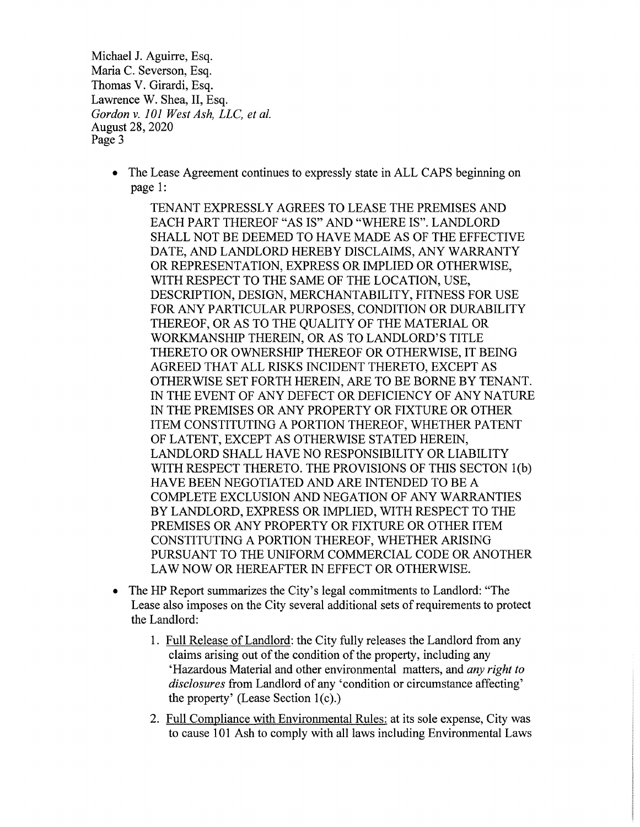> • The Lease Agreement continues to expressly state in ALL CAPS beginning on page 1:

TENANT EXPRESSLY AGREES TO LEASE THE PREMISES AND EACH PART THEREOF "AS IS" AND "WHERE IS". LANDLORD SHALL NOT BE DEEMED TO HAVE MADE AS OF THE EFFECTIVE DATE, AND LANDLORD HEREBY DISCLAIMS, ANY WARRANTY OR REPRESENTATION, EXPRESS OR IMPLIED OR OTHERWISE, WITH RESPECT TO THE SAME OF THE LOCATION, USE, DESCRIPTION, DESIGN, MERCHANTABILITY, FITNESS FOR USE FOR ANY PARTICULAR PURPOSES, CONDITION OR DURABILITY THEREOF, OR AS TO THE QUALITY OF THE MATERIAL OR WORKMANSHIP THEREIN, OR AS TO LANDLORD'S TITLE THERETO OR OWNERSHIP THEREOF OR OTHERWISE, IT BEING AGREED THAT ALL RISKS INCIDENT THERETO, EXCEPT AS OTHERWISE SET FORTH HEREIN, ARE TO BE BORNE BY TENANT. IN THE EVENT OF ANY DEFECT OR DEFICIENCY OF ANY NATURE IN THE PREMISES OR ANY PROPERTY OR FIXTURE OR OTHER ITEM CONSTITUTING A PORTION THEREOF, WHETHER PATENT OF LATENT, EXCEPT AS OTHERWISE STATED HEREIN, LANDLORD SHALL HAVE NO RESPONSIBILITY OR LIABILITY WITH RESPECT THERETO. THE PROVISIONS OF THIS SECTON 1(b) HAVE BEEN NEGOTIATED AND ARE INTENDED TO BE A COMPLETE EXCLUSION AND NEGATION OF ANY WARRANTIES BY LANDLORD, EXPRESS OR IMPLIED, WITH RESPECT TO THE PREMISES OR ANY PROPERTY OR FIXTURE OR OTHER ITEM CONSTITUTING A PORTION THEREOF, WHETHER ARISING PURSUANT TO THE UNIFORM COMMERCIAL CODE OR ANOTHER LAW NOW OR HEREAFTER IN EFFECT OR OTHERWISE.

- The HP Report summarizes the City's legal commitments to Landlord: "The Lease also imposes on the City several additional sets of requirements to protect the Landlord:
	- 1. Full Release of Landlord: the City fully releases the Landlord from any claims arising out of the condition of the property, including any 'Hazardous Material and other environmental matters, and *any right to disclosures* from Landlord of any 'condition or circumstance affecting' the property' (Lease Section  $l(c)$ .)
	- 2. Full Compliance with Environmental Rules: at its sole expense, City was to cause 101 Ash to comply with all laws including Environmental Laws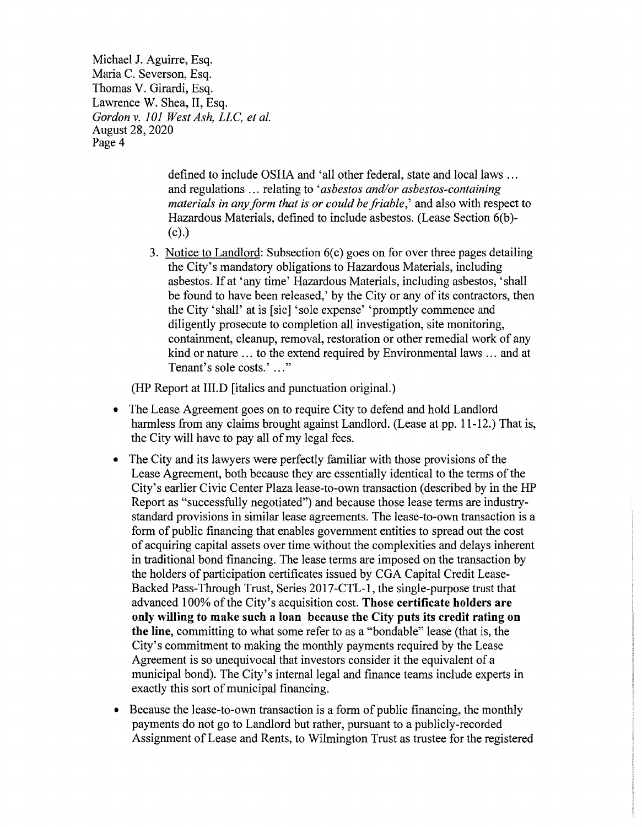> defined to include OSHA and 'all other federal, state and local laws ... and regulations ... relating to *'asbestos and/or asbestos-containing materials in any form that is or could be friable,'* and also with respect to Hazardous Materials, defined to include asbestos. (Lease Section 6(b)-(c).)

3. Notice to Landlord: Subsection 6(c) goes on for over three pages detailing the City's mandatory obligations to Hazardous Materials, including asbestos. If at 'any time' Hazardous Materials, including asbestos, 'shall be found to have been released,' by the City or any of its contractors, then the City 'shall' at is [sic] 'sole expense' 'promptly commence and diligently prosecute to completion all investigation, site monitoring, containment, cleanup, removal, restoration or other remedial work of any kind or nature ... to the extend required by Environmental laws ... and at Tenant's sole costs.' ..."

(HP Report at III.D [italics and punctuation original.)

- The Lease Agreement goes on to require City to defend and hold Landlord harmless from any claims brought against Landlord. (Lease at pp. 11-12.) That is, the City will have to pay all of my legal fees.
- The City and its lawyers were perfectly familiar with those provisions of the Lease Agreement, both because they are essentially identical to the terms of the City's earlier Civic Center Plaza lease-to-own transaction (described by in the HP Report as "successfully negotiated") and because those lease terms are industrystandard provisions in similar lease agreements. The lease-to-own transaction is a form of public financing that enables government entities to spread out the cost of acquiring capital assets over time without the complexities and delays inherent in traditional bond financing. The lease terms are imposed on the transaction by the holders of participation certificates issued by CGA Capital Credit Lease-Backed Pass-Through Trust, Series 2017 -CTL-1, the single-purpose trust that advanced 100% of the City's acquisition cost. **Those certificate holders are only willing to make such a loan because the City puts its credit rating on the line,** committing to what some refer to as a "bondable" lease (that is, the City's commitment to making the monthly payments required by the Lease Agreement is so unequivocal that investors consider it the equivalent of a municipal bond). The City's internal legal and finance teams include experts in exactly this sort of municipal financing.
- Because the lease-to-own transaction is a form of public financing, the monthly payments do not go to Landlord but rather, pursuant to a publicly-recorded Assignment of Lease and Rents, to Wilmington Trust as trustee for the registered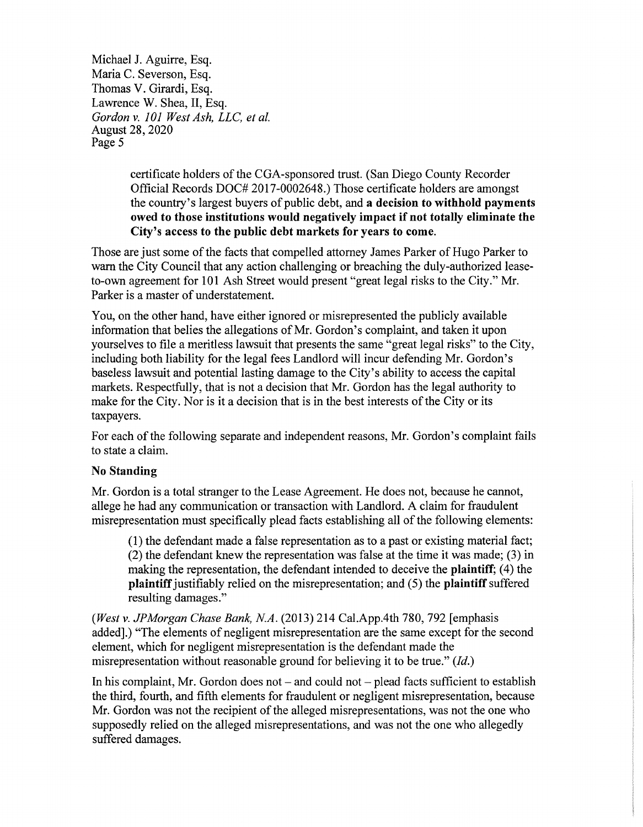> certificate holders of the CGA-sponsored trust. (San Diego County Recorder Official Records DOC# 2017-0002648.) Those certificate holders are amongst the country's largest buyers of public debt, and a decision to withhold payments owed to those institutions would negatively impact if not totally eliminate the City's access to the public debt markets for years to come.

Those are just some of the facts that compelled attorney James Parker of Hugo Parker to warn the City Council that any action challenging or breaching the duly-authorized leaseto-own agreement for 101 Ash Street would present "great legal risks to the City." Mr. Parker is a master of understatement.

You, on the other hand, have either ignored or misrepresented the publicly available information that belies the allegations of Mr. Gordon's complaint, and taken it upon yourselves to file a meritless lawsuit that presents the same "great legal risks" to the City, including both liability for the legal fees Landlord will incur defending Mr. Gordon's baseless lawsuit and potential lasting damage to the City's ability to access the capital markets. Respectfully, that is not a decision that Mr. Gordon has the legal authority to make for the City. Nor is it a decision that is in the best interests of the City or its taxpayers.

For each of the following separate and independent reasons, Mr. Gordon's complaint fails to state a claim.

#### No Standing

Mr. Gordon is a total stranger to the Lease Agreement. He does not, because he cannot, allege he had any communication or transaction with Landlord. A claim for fraudulent misrepresentation must specifically plead facts establishing all of the following elements:

(1) the defendant made a false representation as to a past or existing material fact; (2) the defendant knew the representation was false at the time it was made; (3) in making the representation, the defendant intended to deceive the plaintiff; (4) the plaintiff justifiably relied on the misrepresentation; and ( 5) the plaintiff suffered resulting damages."

*(West v. JPMorgan Chase Bank, N.A.* (2013) 214 Cal.App.4th 780, 792 [emphasis added].) "The elements of negligent misrepresentation are the same except for the second element, which for negligent misrepresentation is the defendant made the misrepresentation without reasonable ground for believing it to be true."  $(Id.)$ 

In his complaint, Mr. Gordon does not  $-$  and could not  $-$  plead facts sufficient to establish the third, fourth, and fifth elements for fraudulent or negligent misrepresentation, because Mr. Gordon was not the recipient of the alleged misrepresentations, was not the one who supposedly relied on the alleged misrepresentations, and was not the one who allegedly suffered damages.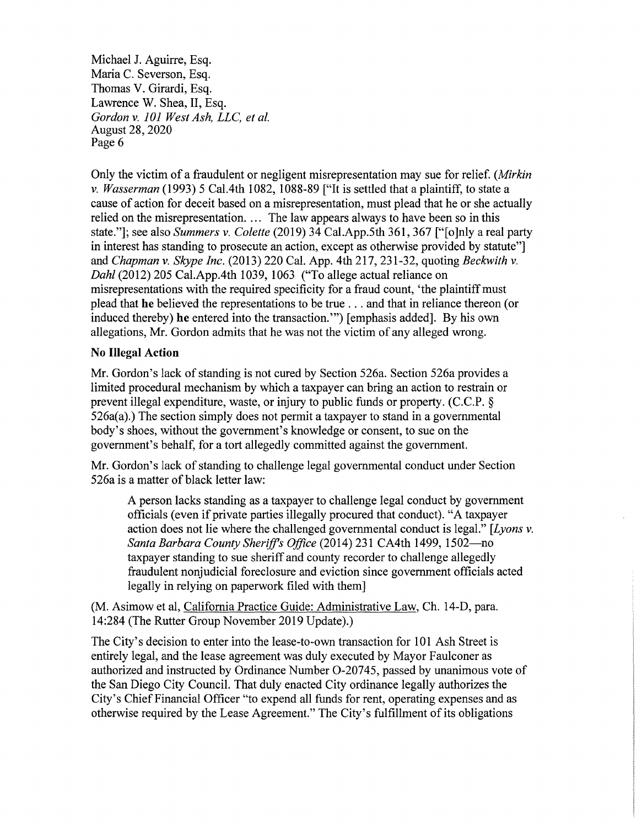Only the victim of a fraudulent or negligent misrepresentation may sue for relief. *(Mirkin v. Wasserman* (1993) 5 Cal. 4th 1082, 1088-89 ["It is settled that a plaintiff, to state a cause of action for deceit based on a misrepresentation, must plead that he or she actually relied on the misrepresentation. ... The law appears always to have been so in this state."]; see also *Summers v. Colette* (2019) 34 Cal.App.5th 361,367 ["[o]nly a real party in interest has standing to prosecute an action, except as otherwise provided by statute"] and *Chapman v. Skype Inc.* (2013) 220 Cal. App. 4th 217, 231-32, quoting *Beckwith v. Dahl* (2012) 205 Cal.App.4th 1039, 1063 ("To allege actual reliance on misrepresentations with the required specificity for a fraud count, 'the plaintiff must plead that **he** believed the representations to be true ... and that in reliance thereon (or induced thereby) **he** entered into the transaction."') [emphasis added]. By his own allegations, Mr. Gordon admits that he was not the victim of any alleged wrong.

## **No Illegal Action**

Mr. Gordon's lack of standing is not cured by Section 526a. Section 526a provides a limited procedural mechanism by which a taxpayer can bring an action to restrain or prevent illegal expenditure, waste, or injury to public funds or property. (C.C.P. § 526a(a).) The section simply does not permit a taxpayer to stand in a governmental body's shoes, without the government's knowledge or consent, to sue on the government's behalf, for a tort allegedly committed against the government.

Mr. Gordon's lack of standing to challenge legal governmental conduct under Section 526a is a matter of black letter law:

A person lacks standing as a taxpayer to challenge legal conduct by government officials (even if private parties illegally procured that conduct). "A taxpayer action does not lie where the challenged governmental conduct is legal." *[Lyons v. Santa Barbara County Sheriffs Office* (2014) 231 CA4th 1499, 1502-no taxpayer standing to sue sheriff and county recorder to challenge allegedly fraudulent nonjudicial foreclosure and eviction since government officials acted legally in relying on paperwork filed with them]

(M. Asimow et al, California Practice Guide: Administrative Law, Ch. 14-D, para. 14:284 (The Rutter Group November 2019 Update).)

The City's decision to enter into the lease-to-own transaction for 101 Ash Street is entirely legal, and the lease agreement was duly executed by Mayor Faulconer as authorized and instructed by Ordinance Number 0-20745, passed by unanimous vote of the San Diego City Council. That duly enacted City ordinance legally authorizes the City's Chief Financial Officer "to expend all funds for rent, operating expenses and as otherwise required by the Lease Agreement." The City's fulfillment of its obligations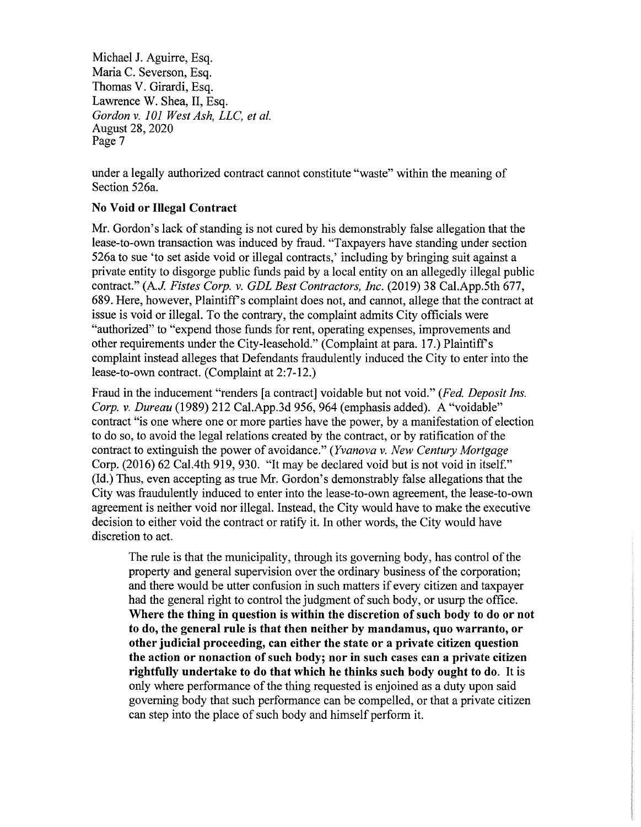under a legally authorized contract cannot constitute "waste" within the meaning of Section 526a.

## No Void or Illegal Contract

Mr. Gordon's lack of standing is not cured by his demonstrably false allegation that the lease-to-own transaction was induced by fraud. "Taxpayers have standing under section 526a to sue 'to set aside void or illegal contracts,' including by bringing suit against a private entity to disgorge public funds paid by a local entity on an allegedly illegal public contract." (A.J. *Fistes Corp. v. GDL Best Contractors, Inc.* (2019) 38 Cal.App.5th 677, 689. Here, however, Plaintiff's complaint does not, and cannot, allege that the contract at issue is void or illegal. To the contrary, the complaint admits City officials were "authorized" to "expend those funds for rent, operating expenses, improvements and other requirements under the City-leasehold." (Complaint at para. 17.) Plaintiff's complaint instead alleges that Defendants fraudulently induced the City to enter into the lease-to-own contract. (Complaint at 2:7-12.)

Fraud in the inducement "renders [a contract] voidable but not void." *(Fed. Deposit Ins. Corp. v. Dureau* (1989) 212 Cal.App.3d 956, 964 (emphasis added). A "voidable" contract "is one where one or more parties have the power, by a manifestation of election to do so, to avoid the legal relations created by the contract, or by ratification of the contract to extinguish the power of avoidance." *(Yvanova v. New Century Mortgage*  Corp. (2016) 62 Cal.4th 919, 930. "It may be declared void but is not void in itself." (Id.) Thus, even accepting as true Mr. Gordon's demonstrably false allegations that the City was fraudulently induced to enter into the lease-to-own agreement, the lease-to-own agreement is neither void nor illegal. Instead, the City would have to make the executive decision to either void the contract or ratify it. In other words, the City would have discretion to act.

The rule is that the municipality, through its governing body, has control of the property and general supervision over the ordinary business of the corporation; and there would be utter confusion in such matters if every citizen and taxpayer had the general right to control the judgment of such body, or usurp the office. Where the thing in question is within the discretion of such body to do or not to do, the general rule is that then neither by mandamus, quo warranto, or other judicial proceeding, can either the state or a private citizen question the action or nonaction of such body; nor in such cases can a private citizen rightfully undertake to do that which he thinks such body ought to do. It is only where performance of the thing requested is enjoined as a duty upon said governing body that such performance can be compelled, or that a private citizen can step into the place of such body and himself perform it.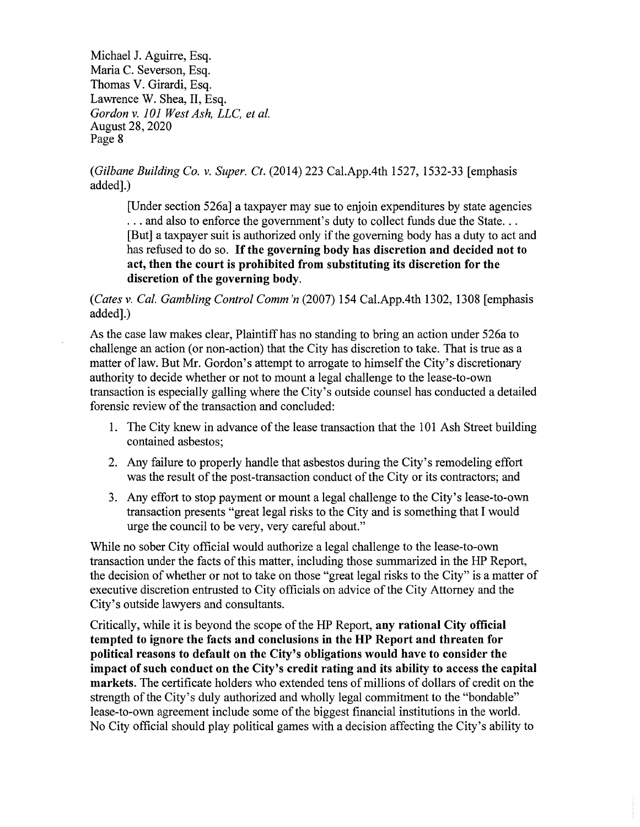*(Gilbane Building Co.* v. *Super. Ct.* (2014) 223 Cal.App.4th 1527, 1532-33 [emphasis added].)

[Under section 526a] a taxpayer may sue to enjoin expenditures by state agencies ... and also to enforce the government's duty to collect funds due the State... [But] a taxpayer suit is authorized only if the governing body has a duty to act and has refused to do so. If the governing body has discretion and decided not to act, then the court is prohibited from substituting its discretion for the discretion of the governing body.

*(Cates* v. *Cal. Gambling Control Comm 'n* (2007) 154 Cal.App.4th 1302, 1308 [emphasis added].)

As the case law makes clear, Plaintiff has no standing to bring an action under 526a to challenge an action (or non-action) that the City has discretion to take. That is true as a matter of law. But Mr. Gordon's attempt to arrogate to himself the City's discretionary authority to decide whether or not to mount a legal challenge to the lease-to-own transaction is especially galling where the City's outside counsel has conducted a detailed forensic review of the transaction and concluded:

- 1. The City knew in advance of the lease transaction that the 101 Ash Street building contained asbestos;
- 2. Any failure to properly handle that asbestos during the City's remodeling effort was the result of the post-transaction conduct of the City or its contractors; and
- 3. Any effort to stop payment or mount a legal challenge to the City's lease-to-own transaction presents "great legal risks to the City and is something that I would urge the council to be very, very careful about."

While no sober City official would authorize a legal challenge to the lease-to-own transaction under the facts of this matter, including those summarized in the HP Report, the decision of whether or not to take on those "great legal risks to the City" is a matter of executive discretion entrusted to City officials on advice of the City Attorney and the City's outside lawyers and consultants.

Critically, while it is beyond the scope of the HP Report, any rational City official tempted to ignore the facts and conclusions in the HP Report and threaten for political reasons to default on the City's obligations would have to consider the impact of such conduct on the City's credit rating and its ability to access the capital markets. The certificate holders who extended tens of millions of dollars of credit on the strength of the City's duly authorized and wholly legal commitment to the "bondable" lease-to-own agreement include some of the biggest financial institutions in the world. No City official should play political games with a decision affecting the City's ability to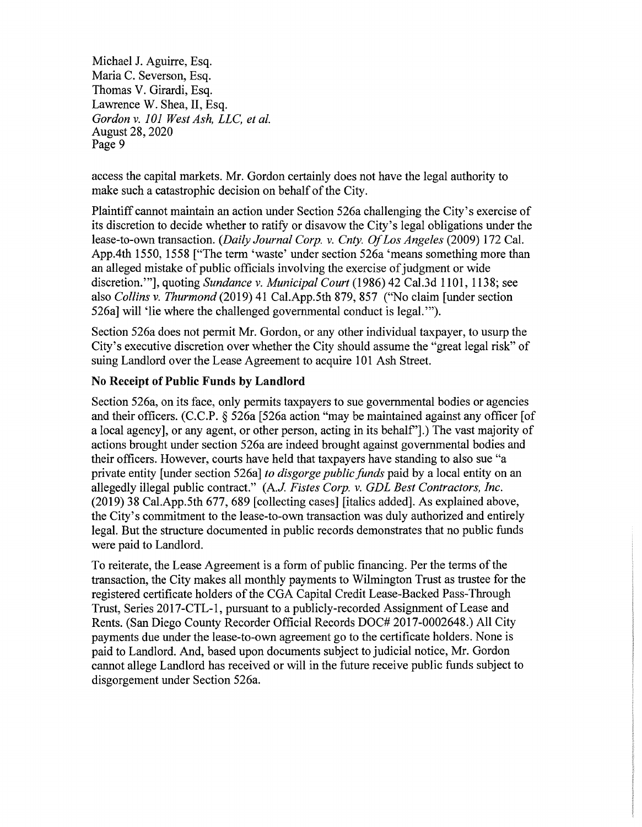access the capital markets. Mr. Gordon certainly does not have the legal authority to make such a catastrophic decision on behalf of the City.

Plaintiff cannot maintain an action under Section 526a challenging the City's exercise of its discretion to decide whether to ratify or disavow the City's legal obligations under the lease-to-own transaction. *(Daily Journal Corp. v. Cnty. Of Los Angeles* (2009) 172 Cal. App.4th 1550, 1558 ["The term 'waste' under section 526a 'means something more than an alleged mistake of public officials involving the exercise of judgment or wide discretion.'"], quoting *Sundance v. Municipal Court* (1986) 42 Cal.3d 1101, 1138; see also *Collins v. Thurmond* (2019) 41 Cal.App.5th 879, 857 ("No claim [under section 526a] will 'lie where the challenged governmental conduct is legal."').

Section 526a does not permit Mr. Gordon, or any other individual taxpayer, to usurp the City's executive discretion over whether the City should assume the "great legal risk" of suing Landlord over the Lease Agreement to acquire 101 Ash Street.

# **No Receipt of Public Funds by Landlord**

Section 526a, on its face, only permits taxpayers to sue governmental bodies or agencies and their officers. (C.C.P. § 526a [526a action "may be maintained against any officer [of a local agency], or any agent, or other person, acting in its behalf'].) The vast majority of actions brought under section 526a are indeed brought against governmental bodies and their officers. However, courts have held that taxpayers have standing to also sue "a private entity [under section 526a] *to disgorge public funds* paid by a local entity on an allegedly illegal public contract." (A.J. *Fistes Corp. v. GDL Best Contractors, Inc.*  (2019) 38 Cal.App.5th 677, 689 [collecting cases] [italics added]. As explained above, the City's commitment to the lease-to-own transaction was duly authorized and entirely legal. But the structure documented in public records demonstrates that no public funds were paid to Landlord.

To reiterate, the Lease Agreement is a form of public financing. Per the terms of the transaction, the City makes all monthly payments to Wilmington Trust as trustee for the registered certificate holders of the CGA Capital Credit Lease-Backed Pass-Through Trust, Series 2017 -CTL-1, pursuant to a publicly-recorded Assignment of Lease and Rents. (San Diego County Recorder Official Records DOC# 2017-0002648.) All City payments due under the lease-to-own agreement go to the certificate holders. None is paid to Landlord. And, based upon documents subject to judicial notice, Mr. Gordon cannot allege Landlord has received or will in the future receive public funds subject to disgorgement under Section 526a.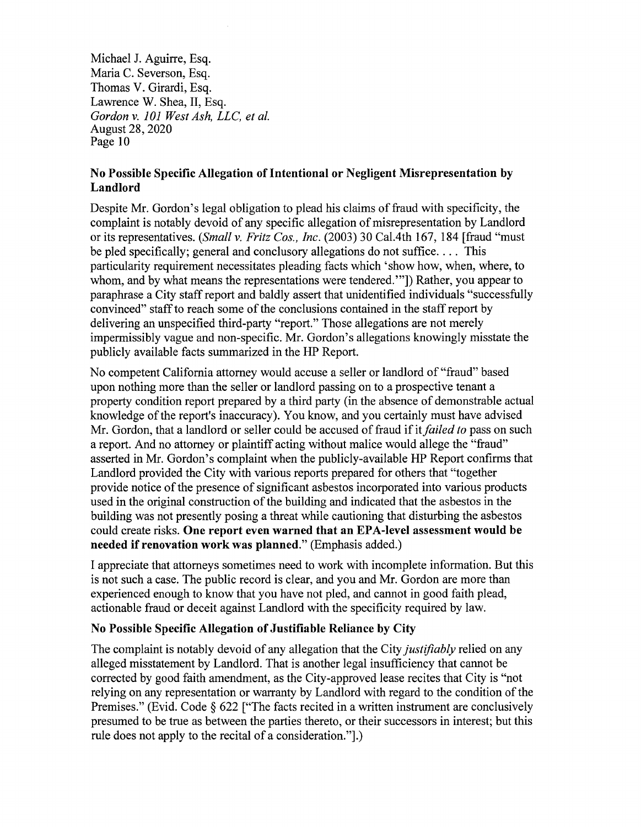# **No Possible Specific Allegation of Intentional or Negligent Misrepresentation by Landlord**

Despite Mr. Gordon's legal obligation to plead his claims of fraud with specificity, the complaint is notably devoid of any specific allegation of misrepresentation by Landlord or its representatives. *(Small v. Fritz Cos., Inc.* (2003) 30 Cal.4th 167, 184 [fraud "must be pled specifically; general and conclusory allegations do not suffice. . . . This particularity requirement necessitates pleading facts which 'show how, when, where, to whom, and by what means the representations were tendered."']) Rather, you appear to paraphrase a City staff report and baldly assert that unidentified individuals "successfully convinced" staffto reach some of the conclusions contained in the staff report by delivering an unspecified third-party "report." Those allegations are not merely impermissibly vague and non-specific. Mr. Gordon's allegations knowingly misstate the publicly available facts summarized in the HP Report.

No competent California attorney would accuse a seller or landlord of "fraud" based upon nothing more than the seller or landlord passing on to a prospective tenant a property condition report prepared by a third party (in the absence of demonstrable actual knowledge of the report's inaccuracy). You know, and you certainly must have advised Mr. Gordon, that a landlord or seller could be accused of fraud if it *failed to* pass on such a report. And no attorney or plaintiff acting without malice would allege the "fraud" asserted in Mr. Gordon's complaint when the publicly-available HP Report confirms that Landlord provided the City with various reports prepared for others that "together provide notice of the presence of significant asbestos incorporated into various products used in the original construction of the building and indicated that the asbestos in the building was not presently posing a threat while cautioning that disturbing the asbestos could create risks. **One report even warned that an EPA-level assessment would be needed if renovation work was planned."** (Emphasis added.)

I appreciate that attorneys sometimes need to work with incomplete information. But this is not such a case. The public record is clear, and you and Mr. Gordon are more than experienced enough to know that you have not pled, and cannot in good faith plead, actionable fraud or deceit against Landlord with the specificity required by law.

#### **No Possible Specific Allegation of Justifiable Reliance by City**

The complaint is notably devoid of any allegation that the City *justifiably* relied on any alleged misstatement by Landlord. That is another legal insufficiency that cannot be corrected by good faith amendment, as the City-approved lease recites that City is "not relying on any representation or warranty by Landlord with regard to the condition of the Premises." (Evid. Code § 622 ["The facts recited in a written instrument are conclusively presumed to be true as between the parties thereto, or their successors in interest; but this rule does not apply to the recital of a consideration."].)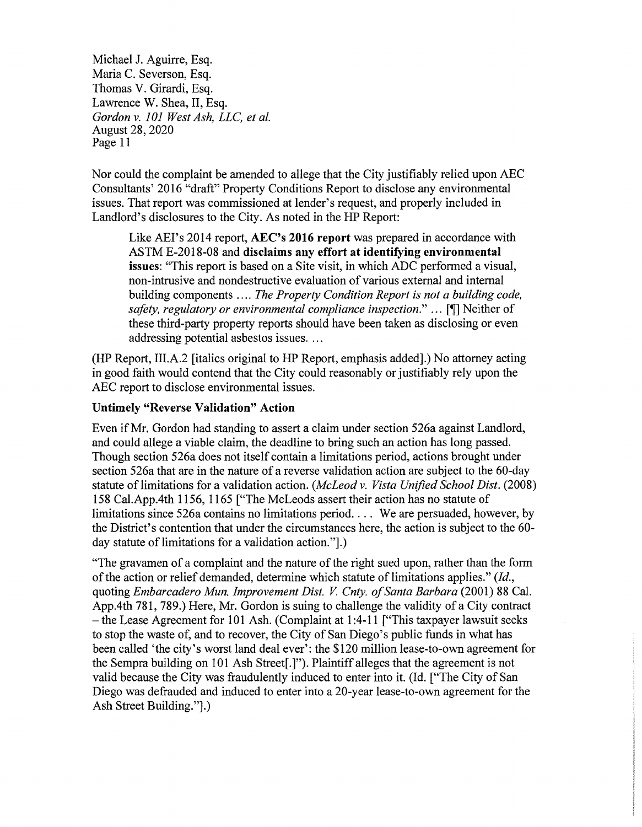Nor could the complaint be amended to allege that the City justifiably relied upon AEC Consultants' 2016 "draft" Property Conditions Report to disclose any environmental issues. That report was commissioned at lender's request, and properly included in Landlord's disclosures to the City. As noted in the HP Report:

Like AEI's 2014 report, AEC's 2016 report was prepared in accordance with ASTM E-2018-08 and disclaims any effort at identifying environmental issues: "This report is based on a Site visit, in which ADC performed a visual, non-intrusive and nondestructive evaluation of various external and internal building components .... *The Property Condition Report is not a building code, safety, regulatory or environmental compliance inspection.*" ... [[] Neither of these third-party property reports should have been taken as disclosing or even addressing potential asbestos issues...

(HP Report, III.A.2 [italics original to HP Report, emphasis added].) No attorney acting in good faith would contend that the City could reasonably or justifiably rely upon the AEC report to disclose environmental issues.

### Untimely "Reverse Validation" Action

Even if Mr. Gordon had standing to assert a claim under section 526a against Landlord, and could allege a viable claim, the deadline to bring such an action has long passed. Though section 526a does not itself contain a limitations period, actions brought under section 526a that are in the nature of a reverse validation action are subject to the 60-day statute of limitations for a validation action. *(McLeod v. Vista Unified School Dist.* (2008) 158 Cal.App.4th 1156, 1165 ["The McLeods assert their action has no statute of limitations since 526a contains no limitations period .... We are persuaded, however, by the District's contention that under the circumstances here, the action is subject to the 60 day statute of limitations for a validation action."].)

"The gravamen of a complaint and the nature of the right sued upon, rather than the form of the action or relief demanded, determine which statute of limitations applies." (Id., quoting *Embarcadero Mun. Improvement Dist. V Cnty. ofSanta Barbara* (2001) 88 Cal. App.4th 781, 789.) Here, Mr. Gordon is suing to challenge the validity of a City contract -the Lease Agreement for 101 Ash. (Complaint at 1:4-11 ["This taxpayer lawsuit seeks to stop the waste of, and to recover, the City of San Diego's public funds in what has been called 'the city's worst land deal ever': the \$120 million lease-to-own agreement for the Sempra building on 101 Ash Street[.]"). Plaintiff alleges that the agreement is not valid because the City was fraudulently induced to enter into it. (Id. ["The City of San Diego was defrauded and induced to enter into a 20-year lease-to-own agreement for the Ash Street Building."].)